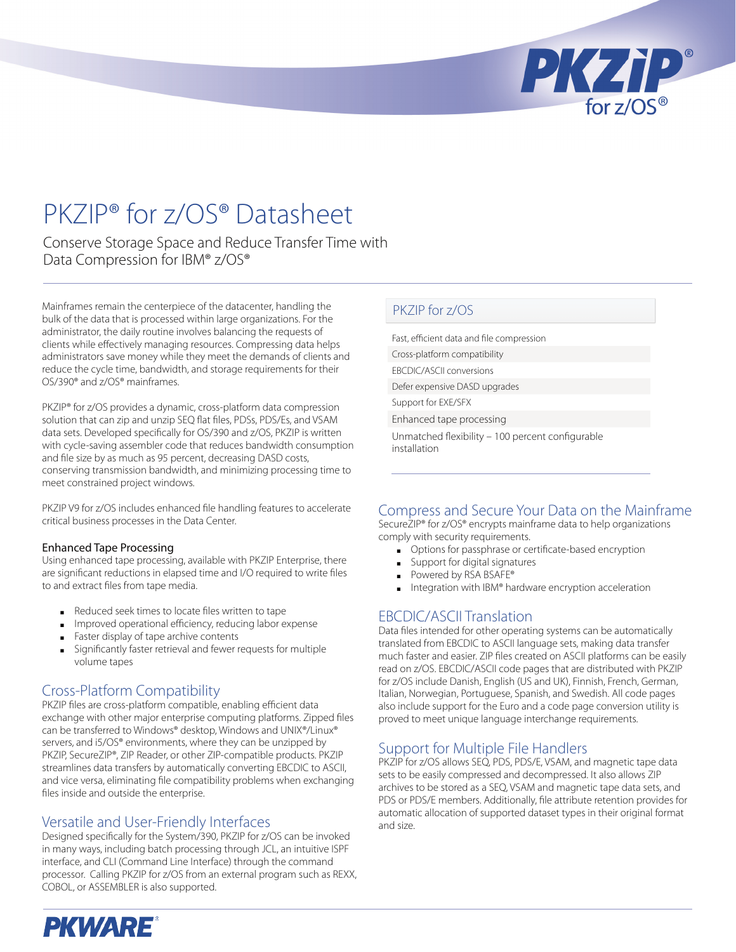

# PKZIP® for z/OS® Datasheet

Conserve Storage Space and Reduce Transfer Time with Data Compression for IBM® z/OS®

Mainframes remain the centerpiece of the datacenter, handling the bulk of the data that is processed within large organizations. For the administrator, the daily routine involves balancing the requests of clients while effectively managing resources. Compressing data helps administrators save money while they meet the demands of clients and reduce the cycle time, bandwidth, and storage requirements for their OS/390® and z/OS® mainframes.

PKZIP® for z/OS provides a dynamic, cross-platform data compression solution that can zip and unzip SEQ flat files, PDSs, PDS/Es, and VSAM data sets. Developed specifically for OS/390 and z/OS, PKZIP is written with cycle-saving assembler code that reduces bandwidth consumption and file size by as much as 95 percent, decreasing DASD costs, conserving transmission bandwidth, and minimizing processing time to meet constrained project windows.

PKZIP V9 for z/OS includes enhanced file handling features to accelerate critical business processes in the Data Center.

#### Enhanced Tape Processing

Using enhanced tape processing, available with PKZIP Enterprise, there are significant reductions in elapsed time and I/O required to write files to and extract files from tape media.

- Reduced seek times to locate files written to tape
- Improved operational efficiency, reducing labor expense
- Faster display of tape archive contents ■
- Significantly faster retrieval and fewer requests for multiple volume tapes ■

#### Cross-Platform Compatibility

PKZIP files are cross-platform compatible, enabling efficient data exchange with other major enterprise computing platforms. Zipped files can be transferred to Windows® desktop, Windows and UNIX®/Linux® servers, and i5/OS® environments, where they can be unzipped by PKZIP, SecureZIP®, ZIP Reader, or other ZIP-compatible products. PKZIP streamlines data transfers by automatically converting EBCDIC to ASCII, and vice versa, eliminating file compatibility problems when exchanging files inside and outside the enterprise.

#### Versatile and User-Friendly Interfaces

Designed specifically for the System/390, PKZIP for z/OS can be invoked in many ways, including batch processing through JCL, an intuitive ISPF interface, and CLI (Command Line Interface) through the command processor. Calling PKZIP for z/OS from an external program such as REXX, COBOL, or ASSEMBLER is also supported.

#### PKZIP for z/OS

Fast, efficient data and file compression Cross-platform compatibility EBCDIC/ASCII conversions Defer expensive DASD upgrades Support for EXE/SFX Enhanced tape processing

Unmatched flexibility – 100 percent configurable installation

#### Compress and Secure Your Data on the Mainframe

SecureZIP® for z/OS® encrypts mainframe data to help organizations comply with security requirements.

- Options for passphrase or certificate-based encryption
- Support for digital signatures
- Powered by RSA BSAFE® ■
- Integration with IBM® hardware encryption acceleration ■

#### EBCDIC/ASCII Translation

Data files intended for other operating systems can be automatically translated from EBCDIC to ASCII language sets, making data transfer much faster and easier. ZIP files created on ASCII platforms can be easily read on z/OS. EBCDIC/ASCII code pages that are distributed with PKZIP for z/OS include Danish, English (US and UK), Finnish, French, German, Italian, Norwegian, Portuguese, Spanish, and Swedish. All code pages also include support for the Euro and a code page conversion utility is proved to meet unique language interchange requirements.

#### Support for Multiple File Handlers

PKZIP for z/OS allows SEQ, PDS, PDS/E, VSAM, and magnetic tape data sets to be easily compressed and decompressed. It also allows ZIP archives to be stored as a SEQ, VSAM and magnetic tape data sets, and PDS or PDS/E members. Additionally, file attribute retention provides for automatic allocation of supported dataset types in their original format and size.